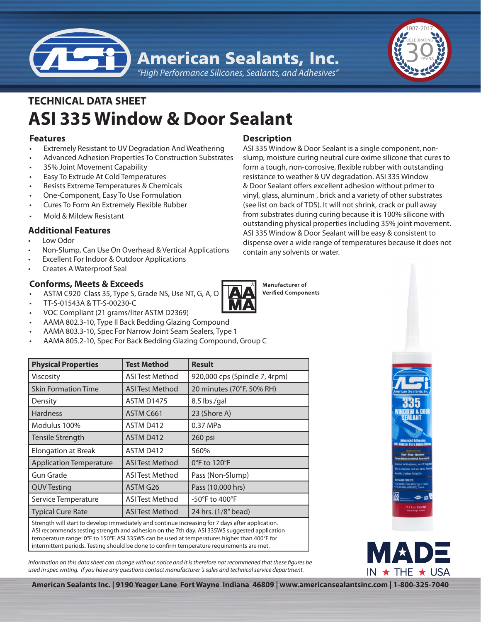

*"High Performance Silicones, Sealants, and Adhesives"*

# **ASI 335 Window & Door Sealant TECHNICAL DATA SHEET**

# **Features**

- Extremely Resistant to UV Degradation And Weathering
- Advanced Adhesion Properties To Construction Substrates
- 35% Joint Movement Capability
- **Easy To Extrude At Cold Temperatures**
- Resists Extreme Temperatures & Chemicals
- One-Component, Easy To Use Formulation
- **Cures To Form An Extremely Flexible Rubber**
- Mold & Mildew Resistant

# **Additional Features**

- Low Odor
- Non-Slump, Can Use On Overhead & Vertical Applications
- **Excellent For Indoor & Outdoor Applications**
- **Creates A Waterproof Seal**

# **Conforms, Meets & Exceeds**

- ASTM C920 Class 35, Type S, Grade NS, Use NT, G, A, O
- • TT-S-01543A & TT-S-00230-C
- VOC Compliant (21 grams/liter ASTM D2369)
- AAMA 802.3-10, Type II Back Bedding Glazing Compound
- AAMA 803.3-10, Spec For Narrow Joint Seam Sealers, Type 1
- AAMA 805.2-10, Spec For Back Bedding Glazing Compound, Group C

# **Physical Properties Test Method Result** Viscosity **ASI Test Method** 920,000 cps (Spindle 7, 4rpm) Skin Formation Time  $|$  ASI Test Method  $|$  20 minutes (70°F, 50% RH) Density **ASTM D1475** 8.5 lbs./gal Hardness **ASTM C661** 23 (Shore A) Modulus 100% ASTM D412 1 0.37 MPa Tensile Strength Tensile Strength ASTM D412 260 psi Elongation at Break | ASTM D412 | 560% Application Temperature  $\parallel$  ASI Test Method  $\parallel$  0°F to 120°F Gun Grade **ASI Test Method** Pass (Non-Slump) QUV Testing ASTM G26 Pass (10,000 hrs) Service Temperature | ASI Test Method | -50°F to 400°F

Strength will start to develop immediately and continue increasing for 7 days after application. ASI recommends testing strength and adhesion on the 7th day. ASI 335WS suggested application temperature range: 0°F to 150°F. ASI 335WS can be used at temperatures higher than 400°F for intermittent periods. Testing should be done to confirm temperature requirements are met.

Typical Cure Rate  $\vert$  ASI Test Method  $\vert$  24 hrs. (1/8" bead)

*Information on this data sheet can change without notice and it is therefore not recommened that these figures be used in spec writing. If you have any questions contact manufacturer 's sales and technical service department.*

# **Description**

ASI 335 Window & Door Sealant is a single component, nonslump, moisture curing neutral cure oxime silicone that cures to form a tough, non-corrosive, flexible rubber with outstanding resistance to weather & UV degradation. ASI 335 Window & Door Sealant offers excellent adhesion without primer to vinyl, glass, aluminum , brick and a variety of other substrates (see list on back of TDS). It will not shrink, crack or pull away from substrates during curing because it is 100% silicone with outstanding physical properties including 35% joint movement. ASI 335 Window & Door Sealant will be easy & consistent to dispense over a wide range of temperatures because it does not contain any solvents or water.

Manufacturer of **Verified Components**